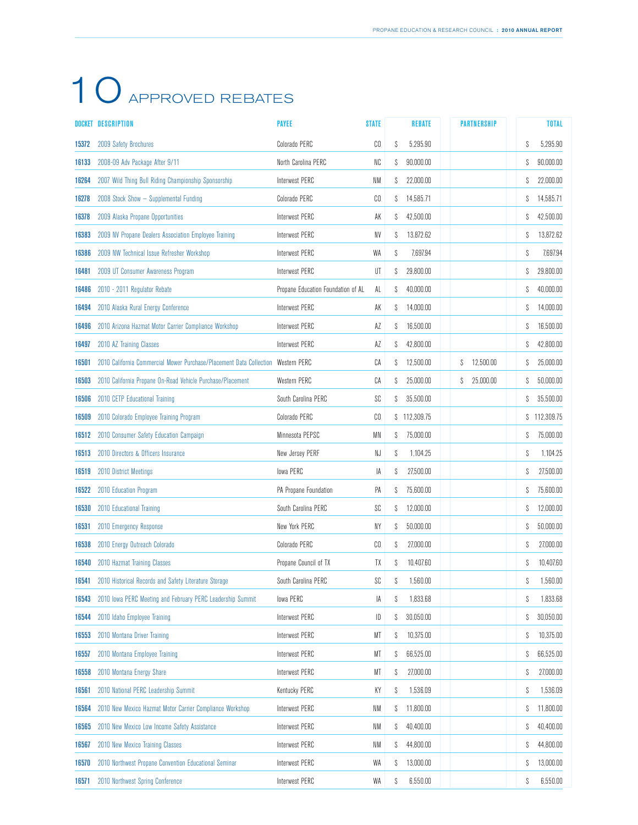|       | DOCKET DESCRIPTION                                                  | <b>PAYEE</b>                       | <b>STATE</b>   | <b>REBATE</b>   | <b>PARTNERSHIP</b> |   | <b>TOTAL</b> |
|-------|---------------------------------------------------------------------|------------------------------------|----------------|-----------------|--------------------|---|--------------|
| 15372 | 2009 Safety Brochures                                               | Colorado PERC                      | CO             | 5,295.90<br>S   |                    | S | 5.295.90     |
| 16133 | 2008-09 Adv Package After 9/11                                      | North Carolina PERC                | NC             | 90,000.00<br>S  |                    | S | 90.000.00    |
| 16264 | 2007 Wild Thing Bull Riding Championship Sponsorship                | Interwest PERC                     | NM             | 22,000.00<br>S  |                    | S | 22,000.00    |
| 16278 | 2008 Stock Show - Supplemental Funding                              | Colorado PERC                      | CO             | 14,585.71<br>S  |                    | S | 14,585.71    |
| 16378 | 2009 Alaska Propane Opportunities                                   | Interwest PERC                     | АK             | 42,500.00<br>S  |                    | S | 42,500.00    |
| 16383 | 2009 NV Propane Dealers Association Employee Training               | Interwest PERC                     | NV             | 13,872.62<br>S  |                    | S | 13,872.62    |
| 16386 | 2009 NW Technical Issue Refresher Workshop                          | Interwest PERC                     | WA             | 7.697.94<br>S   |                    | S | 7.697.94     |
| 16481 | 2009 UT Consumer Awareness Program                                  | Interwest PERC                     | UT             | 29,800.00<br>S  |                    | S | 29,800.00    |
| 16486 | 2010 - 2011 Regulator Rebate                                        | Propane Education Foundation of AL | AL             | 40,000.00<br>S  |                    | S | 40,000.00    |
| 16494 | 2010 Alaska Rural Energy Conference                                 | Interwest PERC                     | AK             | 14,000.00<br>S  |                    | S | 14,000.00    |
| 16496 | 2010 Arizona Hazmat Motor Carrier Compliance Workshop               | Interwest PERC                     | ΑZ             | 16,500.00<br>S  |                    | S | 16,500.00    |
| 16497 | 2010 AZ Training Classes                                            | Interwest PERC                     | ΑZ             | 42,800.00<br>S  |                    | S | 42,800.00    |
| 16501 | 2010 California Commercial Mower Purchase/Placement Data Collection | Western PERC                       | СA             | 12,500.00<br>S  | 12,500.00<br>S     | S | 25.000.00    |
| 16503 | 2010 California Propane On-Road Vehicle Purchase/Placement          | Western PERC                       | СA             | 25.000.00<br>S  | 25,000.00<br>S     | S | 50,000.00    |
| 16506 | 2010 CETP Educational Training                                      | South Carolina PERC                | SC             | 35,500.00<br>S  |                    | S | 35,500.00    |
| 16509 | 2010 Colorado Employee Training Program                             | Colorado PERC                      | CO             | \$112,309.75    |                    | S | 112,309.75   |
| 16512 | 2010 Consumer Safety Education Campaign                             | Minnesota PEPSC                    | ΜN             | 75,000.00<br>S  |                    | S | 75,000.00    |
| 16513 | 2010 Directors & Officers Insurance                                 | New Jersey PERF                    | NJ             | 1,104.25<br>S   |                    | S | 1,104.25     |
| 16519 | 2010 District Meetings                                              | lowa PERC                          | IA             | 27,500.00<br>S  |                    | S | 27,500.00    |
| 16522 | 2010 Education Program                                              | PA Propane Foundation              | PA             | 75,600.00<br>S  |                    | S | 75,600.00    |
| 16530 | 2010 Educational Training                                           | South Carolina PERC                | SC             | S<br>12,000.00  |                    | S | 12,000.00    |
| 16531 | 2010 Emergency Response                                             | New York PERC                      | NΥ             | 50,000.00<br>S  |                    | S | 50,000.00    |
| 16538 | 2010 Energy Outreach Colorado                                       | Colorado PERC                      | C <sub>0</sub> | 27,000.00<br>S  |                    | S | 27,000.00    |
| 16540 | 2010 Hazmat Training Classes                                        | Propane Council of TX              | TΧ             | 10,407.60<br>S  |                    | S | 10.407.60    |
| 16541 | 2010 Historical Records and Safety Literature Storage               | South Carolina PERC                | SC             | 1,560.00<br>S   |                    | S | 1,560.00     |
| 16543 | 2010 Iowa PERC Meeting and February PERC Leadership Summit          | lowa PERC                          | IA             | S<br>1,833.68   |                    | S | 1,833.68     |
| 16544 | 2010 Idaho Employee Training                                        | Interwest PERC                     | ID             | S<br>30,050.00  |                    | S | 30,050.00    |
| 16553 | 2010 Montana Driver Training                                        | Interwest PERC                     | МT             | 10,375.00<br>S  |                    | S | 10,375.00    |
| 16557 | 2010 Montana Employee Training                                      | Interwest PERC                     | МT             | 66,525.00<br>S  |                    | S | 66,525.00    |
| 16558 | 2010 Montana Energy Share                                           | Interwest PERC                     | МT             | 27,000.00<br>S  |                    | S | 27,000.00    |
| 16561 | 2010 National PERC Leadership Summit                                | Kentucky PERC                      | КY             | 1,536.09<br>S   |                    | S | 1,536.09     |
| 16564 | 2010 New Mexico Hazmat Motor Carrier Compliance Workshop            | Interwest PERC                     | NM             | 11,800.00<br>\$ |                    | S | 11,800.00    |
| 16565 | 2010 New Mexico Low Income Safety Assistance                        | Interwest PERC                     | NM             | S<br>40,400.00  |                    | S | 40,400.00    |
| 16567 | 2010 New Mexico Training Classes                                    | Interwest PERC                     | NM             | 44,800.00<br>S  |                    | S | 44,800.00    |
| 16570 | 2010 Northwest Propane Convention Educational Seminar               | Interwest PERC                     | WA             | 13,000.00<br>S  |                    | S | 13,000.00    |
| 16571 | 2010 Northwest Spring Conference                                    | Interwest PERC                     | WA             | 6,550.00<br>S   |                    | S | 6,550.00     |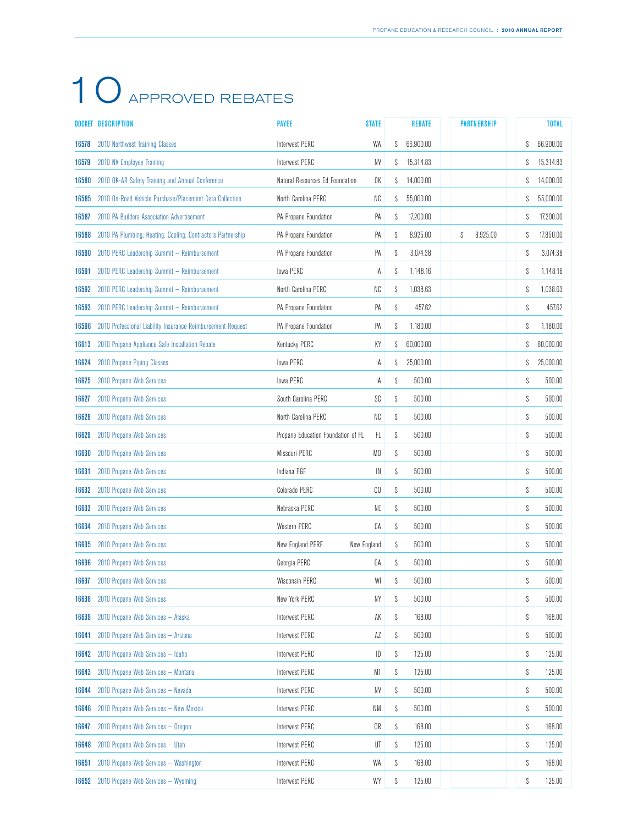|       | DOCKET DESCRIPTION                                          | <b>PAYEE</b>                       | <b>STATE</b> | <b>REBATE</b>  | <b>PARTNERSHIP</b> |   | <b>TOTAL</b> |
|-------|-------------------------------------------------------------|------------------------------------|--------------|----------------|--------------------|---|--------------|
| 16578 | 2010 Northwest Training Classes                             | Interwest PERC                     | WA           | 66,900.00<br>S |                    | S | 66,900.00    |
| 16579 | 2010 NV Employee Training                                   | Interwest PERC                     | NV           | 15,314.83<br>S |                    | S | 15,314.83    |
| 16580 | 2010 OK-AR Safety Training and Annual Conference            | Natural Resources Ed Foundation    | OK           | 14,000.00<br>S |                    | S | 14,000.00    |
| 16585 | 2010 On-Road Vehicle Purchase/Placement Data Collection     | North Carolina PERC                | NC           | 55,000.00<br>S |                    | S | 55,000.00    |
| 16587 | 2010 PA Builders Association Advertisement                  | PA Propane Foundation              | PA           | S<br>17,200.00 |                    | S | 17,200.00    |
| 16588 | 2010 PA Plumbing, Heating, Cooling, Contractors Partnership | PA Propane Foundation              | PA           | S<br>8,925.00  | S<br>8.925.00      | S | 17,850.00    |
| 16590 | 2010 PERC Leadership Summit - Reimbursement                 | PA Propane Foundation              | PA           | 3,074.38<br>S  |                    | S | 3,074.38     |
| 16591 | 2010 PERC Leadership Summit - Reimbursement                 | lowa PERC                          | IA           | S<br>1,148.16  |                    | S | 1,148.16     |
| 16592 | 2010 PERC Leadership Summit - Reimbursement                 | North Carolina PERC                | NC           | 1,038.63<br>S  |                    | S | 1,038.63     |
| 16593 | 2010 PERC Leadership Summit - Reimbursement                 | PA Propane Foundation              | PA           | S<br>457.62    |                    | S | 457.62       |
| 16596 | 2010 Professional Liability Insurance Reimbursement Request | PA Propane Foundation              | PA           | S<br>1,180.00  |                    | S | 1,180.00     |
| 16613 | 2010 Propane Appliance Safe Installation Rebate             | Kentucky PERC                      | ΚY           | 60,000.00<br>S |                    | S | 60,000.00    |
| 16624 | 2010 Propane Piping Classes                                 | lowa PERC                          | IA           | 25,000.00<br>S |                    | S | 25.000.00    |
| 16625 | 2010 Propane Web Services                                   | lowa PERC                          | IA           | S<br>500.00    |                    | S | 500.00       |
| 16627 | 2010 Propane Web Services                                   | South Carolina PERC                | SC           | S<br>500.00    |                    | S | 500.00       |
| 16628 | 2010 Propane Web Services                                   | North Carolina PERC                | NC           | S<br>500.00    |                    | S | 500.00       |
| 16629 | 2010 Propane Web Services                                   | Propane Education Foundation of FL | FL.          | S<br>500.00    |                    | S | 500.00       |
| 16630 | 2010 Propane Web Services                                   | Missouri PERC                      | MO           | S<br>500.00    |                    | S | 500.00       |
| 16631 | 2010 Propane Web Services                                   | Indiana PGF                        | IN           | S<br>500.00    |                    | S | 500.00       |
| 16632 | 2010 Propane Web Services                                   | Colorado PERC                      | CO           | S<br>500.00    |                    | S | 500.00       |
| 16633 | 2010 Propane Web Services                                   | Nebraska PERC                      | NE           | S<br>500.00    |                    | S | 500.00       |
| 16634 | 2010 Propane Web Services                                   | Western PERC                       | CA           | S<br>500.00    |                    | S | 500.00       |
| 16635 | 2010 Propane Web Services                                   | New England PERF                   | New England  | 500.00<br>S    |                    | S | 500.00       |
| 16636 | 2010 Propane Web Services                                   | Georgia PERC                       | GA           | S<br>500.00    |                    | S | 500.00       |
| 16637 | 2010 Propane Web Services                                   | Wisconsin PERC                     | WI           | S<br>500.00    |                    | S | 500.00       |
| 16638 | 2010 Propane Web Services                                   | New York PERC                      | NY           | S<br>500.00    |                    | S | 500.00       |
| 16639 | 2010 Propane Web Services - Alaska                          | Interwest PERC                     | AK           | S<br>168.00    |                    | S | 168.00       |
| 16641 | 2010 Propane Web Services - Arizona                         | Interwest PERC                     | AZ           | S<br>500.00    |                    | S | 500.00       |
| 16642 | 2010 Propane Web Services - Idaho                           | Interwest PERC                     | ID           | S<br>125.00    |                    | S | 125.00       |
| 16643 | 2010 Propane Web Services - Montana                         | Interwest PERC                     | МT           | 125.00<br>S    |                    | S | 125.00       |
| 16644 | 2010 Propane Web Services - Nevada                          | Interwest PERC                     | NV           | \$<br>500.00   |                    | S | 500.00       |
| 16646 | 2010 Propane Web Services - New Mexico                      | Interwest PERC                     | NM           | \$<br>500.00   |                    | S | 500.00       |
| 16647 | 2010 Propane Web Services - Oregon                          | Interwest PERC                     | OR           | S<br>168.00    |                    | S | 168.00       |
| 16648 | 2010 Propane Web Services - Utah                            | Interwest PERC                     | UT           | S<br>125.00    |                    | S | 125.00       |
| 16651 | 2010 Propane Web Services - Washington                      | Interwest PERC                     | WA           | 168.00<br>S    |                    | S | 168.00       |
| 16652 | 2010 Propane Web Services - Wyoming                         | <b>Interwest PERC</b>              | WY           | S<br>125.00    |                    | S | 125.00       |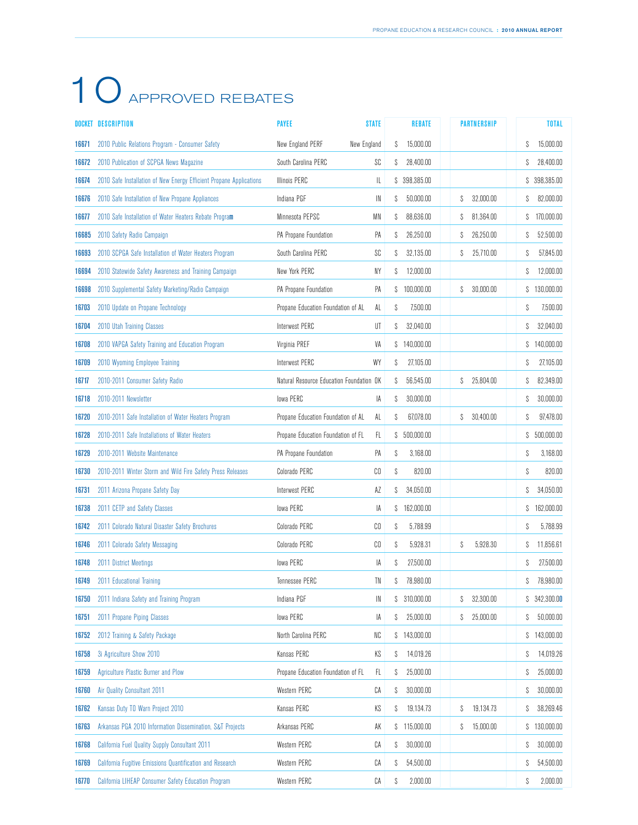|       | DOCKET DESCRIPTION                                                  | <b>PAYEE</b>                             | <b>STATE</b>   | <b>REBATE</b>    | <b>PARTNERSHIP</b> | <b>TOTAL</b>     |
|-------|---------------------------------------------------------------------|------------------------------------------|----------------|------------------|--------------------|------------------|
| 16671 | 2010 Public Relations Program - Consumer Safety                     | New England PERF                         | New England    | 15,000.00<br>S   |                    | 15,000.00<br>S   |
| 16672 | 2010 Publication of SCPGA News Magazine                             | South Carolina PERC                      | SC             | 28.400.00<br>S   |                    | 28.400.00<br>S   |
| 16674 | 2010 Safe Installation of New Energy Efficient Propane Applications | <b>Illinois PERC</b>                     | IL             | \$ 398,385.00    |                    | \$ 398,385.00    |
| 16676 | 2010 Safe Installation of New Propane Appliances                    | Indiana PGF                              | IN             | 50.000.00<br>S   | 32.000.00<br>S     | 82.000.00<br>S   |
| 16677 | 2010 Safe Installation of Water Heaters Rebate Program              | Minnesota PEPSC                          | ΜN             | 88,636.00<br>S   | 81,364.00<br>S     | 170,000.00<br>S  |
| 16685 | 2010 Safety Radio Campaign                                          | PA Propane Foundation                    | PA             | 26,250.00<br>S   | 26,250.00<br>S     | 52,500.00<br>S   |
| 16693 | 2010 SCPGA Safe Installation of Water Heaters Program               | South Carolina PERC                      | SC             | 32,135.00<br>S   | 25,710.00<br>S     | 57.845.00<br>S   |
| 16694 | 2010 Statewide Safety Awareness and Training Campaign               | New York PERC                            | NY             | 12,000.00<br>S   |                    | 12.000.00<br>S   |
| 16698 | 2010 Supplemental Safety Marketing/Radio Campaign                   | PA Propane Foundation                    | PA             | \$100,000.00     | 30,000.00<br>S     | \$130,000.00     |
| 16703 | 2010 Update on Propane Technology                                   | Propane Education Foundation of AL       | AL             | S<br>7,500.00    |                    | S<br>7,500.00    |
| 16704 | 2010 Utah Training Classes                                          | Interwest PERC                           | UT             | 32,040.00<br>S   |                    | 32,040.00<br>S   |
| 16708 | 2010 VAPGA Safety Training and Education Program                    | Virginia PREF                            | VA             | \$140,000.00     |                    | 140,000.00<br>S  |
| 16709 | 2010 Wyoming Employee Training                                      | Interwest PERC                           | WY             | 27,105.00<br>S   |                    | 27,105.00<br>S   |
| 16717 | 2010-2011 Consumer Safety Radio                                     | Natural Resource Education Foundation OK |                | 56,545.00<br>S   | 25,804.00<br>S     | 82,349.00<br>S   |
| 16718 | 2010-2011 Newsletter                                                | lowa PERC                                | IA             | 30,000.00<br>S   |                    | 30,000.00<br>S   |
| 16720 | 2010-2011 Safe Installation of Water Heaters Program                | Propane Education Foundation of AL       | AL             | 67,078.00<br>S   | 30.400.00<br>S     | 97.478.00<br>S   |
| 16728 | 2010-2011 Safe Installations of Water Heaters                       | Propane Education Foundation of FL       | FL.            | \$500,000.00     |                    | 500,000.00<br>S. |
| 16729 | 2010-2011 Website Maintenance                                       | PA Propane Foundation                    | PA             | 3.168.00<br>S    |                    | 3.168.00<br>S    |
| 16730 | 2010-2011 Winter Storm and Wild Fire Safety Press Releases          | Colorado PERC                            | CO             | S<br>820.00      |                    | S<br>820.00      |
| 16731 | 2011 Arizona Propane Safety Day                                     | Interwest PERC                           | ΑZ             | 34,050.00<br>S   |                    | 34,050.00<br>S   |
| 16738 | 2011 CETP and Safety Classes                                        | <b>Iowa PERC</b>                         | IA             | 162,000.00<br>S  |                    | 162,000.00<br>S  |
| 16742 | 2011 Colorado Natural Disaster Safety Brochures                     | Colorado PERC                            | CO             | 5,788.99<br>S    |                    | 5,788.99<br>S    |
| 16746 | 2011 Colorado Safety Messaging                                      | Colorado PERC                            | C <sub>0</sub> | 5,928.31<br>S    | 5,928.30<br>S      | 11,856.61<br>S   |
| 16748 | 2011 District Meetings                                              | lowa PERC                                | IA             | 27,500.00<br>S   |                    | 27,500.00<br>S   |
| 16749 | 2011 Educational Training                                           | Tennessee PERC                           | TN             | 78.980.00<br>S   |                    | 78.980.00<br>S   |
| 16750 | 2011 Indiana Safety and Training Program                            | Indiana PGF                              | IN             | 310,000.00<br>S  | 32,300.00<br>S     | \$342,300.00     |
| 16751 | 2011 Propane Piping Classes                                         | lowa PERC                                | IA             | S<br>25,000.00   | 25,000.00<br>S     | 50,000.00<br>S   |
| 16752 | 2012 Training & Safety Package                                      | North Carolina PERC                      | NC             | 143,000.00<br>S. |                    | 143,000.00<br>S  |
| 16758 | 3i Agriculture Show 2010                                            | Kansas PERC                              | ΚS             | 14,019.26<br>S   |                    | 14,019.26<br>S   |
| 16759 | Agriculture Plastic Burner and Plow                                 | Propane Education Foundation of FL       | FL.            | 25,000.00<br>S   |                    | 25,000.00<br>S   |
| 16760 | Air Quality Consultant 2011                                         | Western PERC                             | СA             | 30,000.00<br>S   |                    | 30,000.00<br>S   |
| 16762 | Kansas Duty TO Warn Project 2010                                    | Kansas PERC                              | KS             | 19,134.73<br>S   | 19,134.73<br>S     | 38,269.46<br>S   |
| 16763 | Arkansas PGA 2010 Information Dissemination, S&T Projects           | Arkansas PERC                            | AK             | \$115,000.00     | 15,000.00<br>S     | 130,000.00<br>S  |
| 16768 | California Fuel Quality Supply Consultant 2011                      | Western PERC                             | СA             | 30,000.00<br>S   |                    | 30,000.00<br>S   |
| 16769 | California Fugitive Emissions Quantification and Research           | Western PERC                             | СA             | 54,500.00<br>S   |                    | 54,500.00<br>S   |
| 16770 | California LIHEAP Consumer Safety Education Program                 | Western PERC                             | СA             | 2,000.00<br>S    |                    | 2,000.00<br>S    |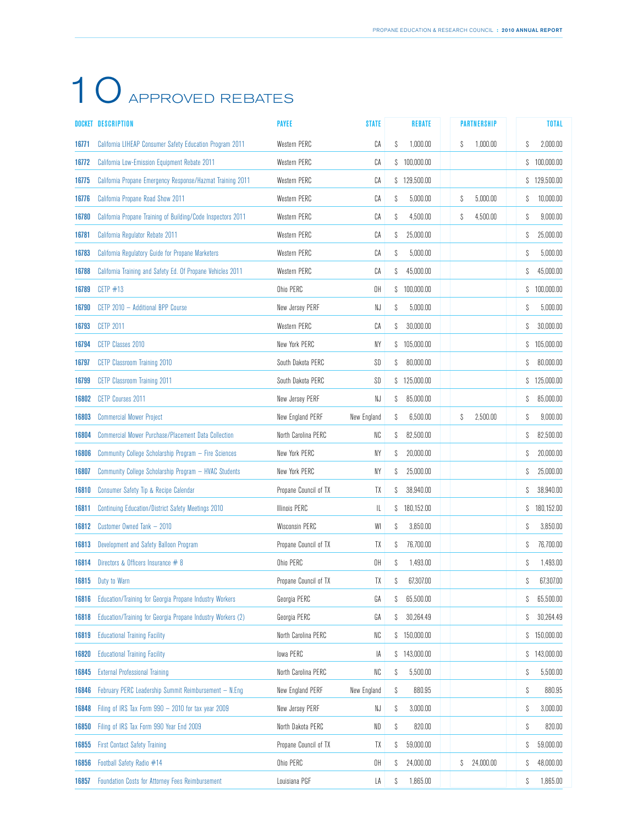|       | DOCKET DESCRIPTION                                              | <b>PAYEE</b>          | <b>STATE</b> | <b>REBATE</b>    | <b>PARTNERSHIP</b> |   | <b>TOTAL</b> |
|-------|-----------------------------------------------------------------|-----------------------|--------------|------------------|--------------------|---|--------------|
| 16771 | <b>California LIHEAP Consumer Safety Education Program 2011</b> | Western PERC          | СA           | 1,000.00<br>S    | S<br>1,000.00      | S | 2,000.00     |
| 16772 | <b>California Low-Emission Equipment Rebate 2011</b>            | Western PERC          | СA           | \$100,000.00     |                    | S | 100,000.00   |
| 16775 | California Propane Emergency Response/Hazmat Training 2011      | Western PERC          | СA           | \$129,500.00     |                    |   | \$129,500.00 |
| 16776 | California Propane Road Show 2011                               | Western PERC          | СA           | 5,000.00<br>S    | 5,000.00<br>S      | S | 10,000.00    |
| 16780 | California Propane Training of Building/Code Inspectors 2011    | Western PERC          | СA           | 4,500.00<br>S    | 4,500.00<br>S      | S | 9,000.00     |
| 16781 | California Regulator Rebate 2011                                | Western PERC          | СA           | 25.000.00<br>S   |                    | S | 25,000.00    |
| 16783 | California Regulatory Guide for Propane Marketers               | Western PERC          | СA           | 5,000.00<br>S    |                    | S | 5,000.00     |
| 16788 | California Training and Safety Ed. Of Propane Vehicles 2011     | Western PERC          | СA           | 45,000.00<br>S   |                    | S | 45,000.00    |
| 16789 | CETP $#13$                                                      | Ohio PERC             | OH           | \$100,000.00     |                    |   | \$100,000.00 |
| 16790 | CETP 2010 - Additional BPP Course                               | New Jersey PERF       | NJ           | 5,000.00<br>S    |                    | S | 5,000.00     |
| 16793 | <b>CETP 2011</b>                                                | Western PERC          | СA           | 30.000.00<br>S   |                    | S | 30,000.00    |
| 16794 | CETP Classes 2010                                               | New York PERC         | NΥ           | 105,000.00<br>S  |                    | S | 105,000.00   |
| 16797 | <b>CETP Classroom Training 2010</b>                             | South Dakota PERC     | SD           | 80,000.00<br>S   |                    | S | 80,000.00    |
| 16799 | <b>CETP Classroom Training 2011</b>                             | South Dakota PERC     | SD           | 125,000.00<br>S. |                    | S | 125,000.00   |
| 16802 | <b>CETP Courses 2011</b>                                        | New Jersey PERF       | NJ           | 85,000.00<br>S   |                    | S | 85,000.00    |
| 16803 | <b>Commercial Mower Project</b>                                 | New England PERF      | New England  | 6,500.00<br>S    | 2,500.00<br>S      | S | 9,000.00     |
| 16804 | <b>Commercial Mower Purchase/Placement Data Collection</b>      | North Carolina PERC   | NC           | 82,500.00<br>S   |                    | S | 82.500.00    |
| 16806 | Community College Scholarship Program - Fire Sciences           | New York PERC         | NΥ           | 20,000.00<br>S   |                    | S | 20,000.00    |
| 16807 | Community College Scholarship Program - HVAC Students           | New York PERC         | NΥ           | 25,000.00<br>S   |                    | S | 25,000.00    |
| 16810 | Consumer Safety Tip & Recipe Calendar                           | Propane Council of TX | TΧ           | 38,940.00<br>S   |                    | S | 38,940.00    |
| 16811 | <b>Continuing Education/District Safety Meetings 2010</b>       | <b>Illinois PERC</b>  | IL           | 180,152.00<br>S  |                    | S | 180,152.00   |
| 16812 | Customer Owned Tank - 2010                                      | Wisconsin PERC        | WI           | 3,850.00<br>S    |                    | S | 3,850.00     |
| 16813 | Development and Safety Balloon Program                          | Propane Council of TX | TΧ           | 76,700.00<br>S   |                    | S | 76.700.00    |
| 16814 | Directors & Officers Insurance # 8                              | Ohio PERC             | OH           | 1,493.00<br>S    |                    | S | 1,493.00     |
| 16815 | Duty to Warn                                                    | Propane Council of TX | TX           | 67.307.00<br>S   |                    | S | 67,307.00    |
| 16816 | Education/Training for Georgia Propane Industry Workers         | Georgia PERC          | GA           | 65,500.00<br>S   |                    | S | 65,500.00    |
| 16818 | Education/Training for Georgia Propane Industry Workers (2)     | Georgia PERC          | GA           | 30,264.49<br>S   |                    | S | 30,264.49    |
| 16819 | <b>Educational Training Facility</b>                            | North Carolina PERC   | NC           | 150,000.00<br>S  |                    | S | 150,000.00   |
| 16820 | <b>Educational Training Facility</b>                            | lowa PERC             | IA           | 143,000.00<br>S. |                    | S | 143,000.00   |
| 16845 | <b>External Professional Training</b>                           | North Carolina PERC   | NC           | 5,500.00<br>S    |                    | S | 5,500.00     |
| 16846 | February PERC Leadership Summit Reimbursement - N.Eng           | New England PERF      | New England  | 880.95<br>S      |                    | S | 880.95       |
| 16848 | Filing of IRS Tax Form 990 - 2010 for tax year 2009             | New Jersey PERF       | NJ           | 3,000.00<br>S    |                    | S | 3,000.00     |
| 16850 | Filing of IRS Tax Form 990 Year End 2009                        | North Dakota PERC     | ND           | 820.00<br>S      |                    | S | 820.00       |
| 16855 | <b>First Contact Safety Training</b>                            | Propane Council of TX | TΧ           | 59,000.00<br>S   |                    | S | 59,000.00    |
| 16856 | Football Safety Radio #14                                       | Ohio PERC             | OH           | 24,000.00<br>S   | 24,000.00<br>S     | S | 48,000.00    |
| 16857 | Foundation Costs for Attorney Fees Reimbursement                | Louisiana PGF         | LA           | 1,865.00<br>S    |                    | S | 1,865.00     |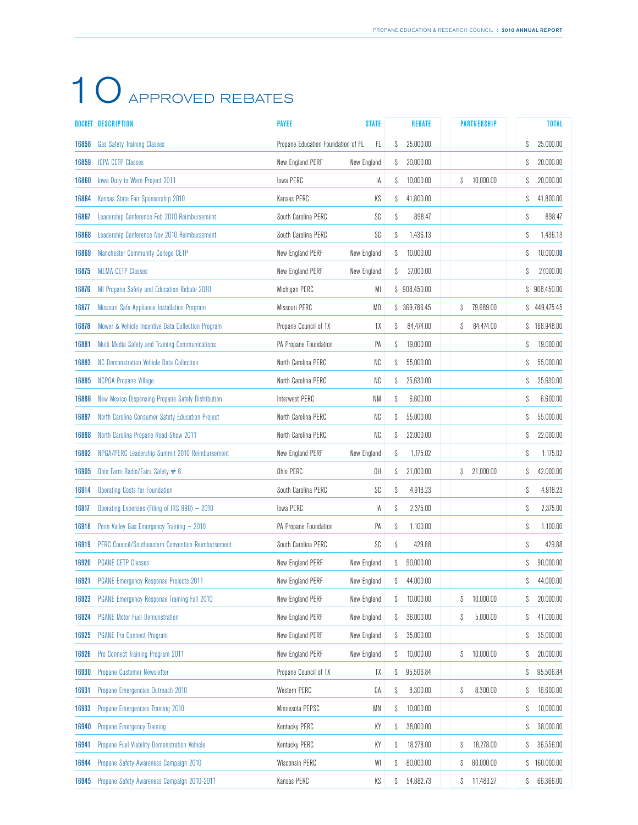|       | <b>DOCKET DESCRIPTION</b>                                 | <b>PAYEE</b>                             | <b>STATE</b> |   | <b>REBATE</b> |   | <b>PARTNERSHIP</b> |   | <b>TOTAL</b> |
|-------|-----------------------------------------------------------|------------------------------------------|--------------|---|---------------|---|--------------------|---|--------------|
| 16858 | <b>Gas Safety Training Classes</b>                        | Propane Education Foundation of FL<br>FL |              | S | 25,000.00     |   |                    | S | 25,000.00    |
| 16859 | <b>ICPA CETP Classes</b>                                  | New England PERF                         | New England  | S | 20,000.00     |   |                    | S | 20,000.00    |
| 16860 | lowa Duty to Warn Project 2011                            | lowa PERC                                | IA           | S | 10,000.00     | S | 10,000.00          | S | 20,000.00    |
| 16864 | Kansas State Fair Sponsorship 2010                        | Kansas PERC                              | ΚS           | S | 41,800.00     |   |                    | S | 41,800.00    |
| 16867 | Leadership Conference Feb 2010 Reimbursement              | South Carolina PERC                      | SC           | S | 898.47        |   |                    | S | 898.47       |
| 16868 | Leadership Conference Nov 2010 Reimbursement              | South Carolina PERC                      | SC           | S | 1,436.13      |   |                    | S | 1,436.13     |
| 16869 | <b>Manchester Community College CETP</b>                  | New England PERF                         | New England  | S | 10.000.00     |   |                    | S | 10,000.00    |
| 16875 | <b>MEMA CETP Classes</b>                                  | New England PERF                         | New England  | S | 27,000.00     |   |                    | S | 27,000.00    |
| 16876 | MI Propane Safety and Education Rebate 2010               | Michigan PERC                            | MI           |   | \$908,450.00  |   |                    |   | \$908,450.00 |
| 16877 | Missouri Safe Appliance Installation Program              | Missouri PERC                            | MO           |   | \$ 369,786.45 | S | 79,689.00          |   | \$49,475.45  |
| 16878 | Mower & Vehicle Incentive Data Collection Program         | Propane Council of TX                    | TΧ           | S | 84,474.00     | S | 84,474.00          |   | \$168,948.00 |
| 16881 | Multi Media Safety and Training Communications            | PA Propane Foundation                    | PA           | S | 19,000.00     |   |                    | S | 19,000.00    |
| 16883 | <b>NC Demonstration Vehicle Data Collection</b>           | North Carolina PERC                      | NC           | S | 55,000.00     |   |                    | S | 55,000.00    |
| 16885 | NCPGA Propane Village                                     | North Carolina PERC                      | NC           | S | 25,630.00     |   |                    | S | 25,630.00    |
| 16886 | New Mexico Dispensing Propane Safely Distribution         | Interwest PERC                           | NM           | S | 6,600.00      |   |                    | S | 6.600.00     |
| 16887 | North Carolina Consumer Safety Education Project          | North Carolina PERC                      | NC           | S | 55,000.00     |   |                    | S | 55,000.00    |
| 16888 | North Carolina Propane Road Show 2011                     | North Carolina PERC                      | NC           | S | 22,000.00     |   |                    | S | 22.000.00    |
| 16892 | NPGA/PERC Leadership Summit 2010 Reimbursement            | New England PERF                         | New England  | S | 1,175.02      |   |                    | S | 1,175.02     |
| 16905 | Ohio Farm Radio/Fairs Safety # 6                          | Ohio PERC                                | OH           | S | 21,000.00     | S | 21.000.00          | S | 42,000.00    |
| 16914 | <b>Operating Costs for Foundation</b>                     | South Carolina PERC                      | SC           | S | 4,918.23      |   |                    | S | 4,918.23     |
| 16917 | Operating Expenses (Filing of IRS 990) - 2010             | lowa PERC                                | IA           | S | 2,375.00      |   |                    | S | 2,375.00     |
| 16918 | Penn Valley Gas Emergency Training - 2010                 | PA Propane Foundation                    | PA           | S | 1,100.00      |   |                    | S | 1,100.00     |
| 16919 | <b>PERC Council/Southeastern Convention Reimbursement</b> | South Carolina PERC                      | SC           | S | 429.88        |   |                    | S | 429.88       |
| 16920 | <b>PGANE CETP Classes</b>                                 | New England PERF                         | New England  | S | 90,000.00     |   |                    | S | 90,000.00    |
| 16921 | <b>PGANE Emergency Response Projects 2011</b>             | New England PERF                         | New England  | S | 44,000.00     |   |                    | S | 44,000.00    |
| 16923 | PGANE Emergency Response Training Fall 2010               | New England PERF                         | New England  | S | 10,000.00     | S | 10,000.00          | S | 20,000.00    |
| 16924 | <b>PGANE Motor Fuel Demonstration</b>                     | New England PERF                         | New England  | S | 36,000.00     | S | 5,000.00           | S | 41,000.00    |
| 16925 | <b>PGANE Pro Connect Program</b>                          | New England PERF                         | New England  | S | 35,000.00     |   |                    | S | 35,000.00    |
| 16926 | Pro Connect Training Program 2011                         | New England PERF                         | New England  | S | 10,000.00     | S | 10,000.00          | S | 20,000.00    |
| 16930 | Propane Customer Newsletter                               | Propane Council of TX                    | TΧ           | S | 95,506.84     |   |                    | S | 95,506.84    |
| 16931 | Propane Emergencies Outreach 2010                         | Western PERC                             | СA           | S | 8,300.00      | S | 8,300.00           | S | 16,600.00    |
| 16933 | Propane Emergencies Training 2010                         | Minnesota PEPSC                          | MN           | S | 10,000.00     |   |                    | S | 10,000.00    |
| 16940 | <b>Propane Emergency Training</b>                         | Kentucky PERC                            | КY           | S | 38,000.00     |   |                    | S | 38,000.00    |
| 16941 | Propane Fuel Viability Demonstration Vehicle              | Kentucky PERC                            | ΚY           | S | 18,278.00     | S | 18,278.00          | S | 36,556.00    |
| 16944 | Propane Safety Awareness Campaign 2010                    | Wisconsin PERC                           | WI           | S | 80,000.00     | S | 80,000.00          | S | 160,000.00   |
| 16945 | Propane Safety Awareness Campaign 2010-2011               | Kansas PERC                              | KS           | S | 54,882.73     | S | 11,483.27          | S | 66,366.00    |